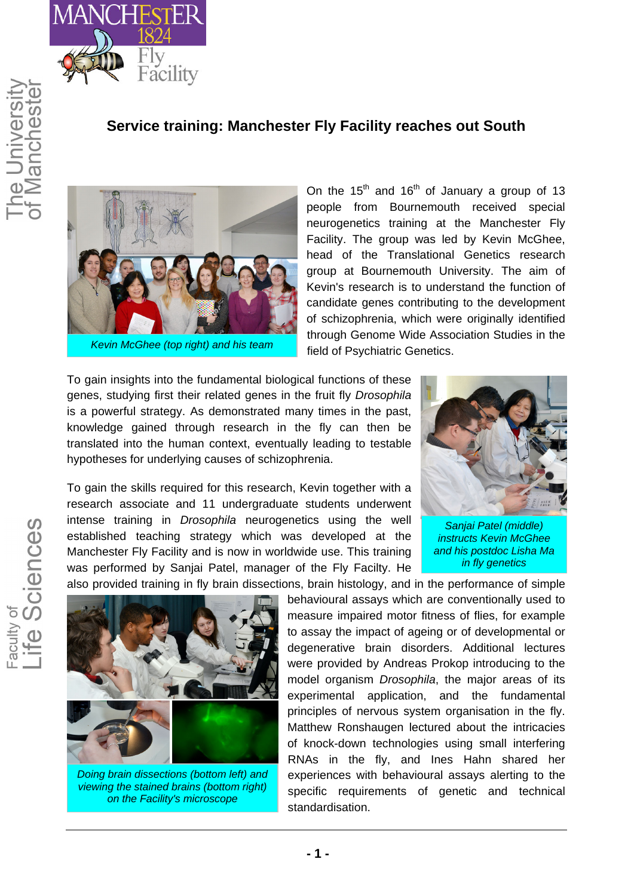

## **Service training: Manchester Fly Facility reaches out South**



On the 15<sup>th</sup> and 16<sup>th</sup> of January a group of 13 people from Bournemouth received special neurogenetics training at the Manchester Fly Facility. The group was led by Kevin McGhee, head of the Translational Genetics research group at Bournemouth University. The aim of Kevin's research is to understand the function of candidate genes contributing to the development of schizophrenia, which were originally identified through Genome Wide Association Studies in the field of Psychiatric Genetics. *Kevin McGhee (top right) and his team*

To gain insights into the fundamental biological functions of these genes, studying first their related genes in the fruit fly *Drosophila* is a powerful strategy. As demonstrated many times in the past, knowledge gained through research in the fly can then be translated into the human context, eventually leading to testable hypotheses for underlying causes of schizophrenia.

To gain the skills required for this research, Kevin together with a research associate and 11 undergraduate students underwent intense training in *Drosophila* neurogenetics using the well established teaching strategy which was developed at the Manchester Fly Facility and is now in worldwide use. This training was performed by Sanjai Patel, manager of the Fly Facilty. He



*Sanjai Patel (middle) instructs Kevin McGhee and his postdoc Lisha Ma in fly genetics*

also provided training in fly brain dissections, brain histology, and in the performance of simple

behavioural assays which are conventionally used to measure impaired motor fitness of flies, for example to assay the impact of ageing or of developmental or degenerative brain disorders. Additional lectures were provided by Andreas Prokop introducing to the model organism *Drosophila*, the major areas of its experimental application, and the fundamental principles of nervous system organisation in the fly. Matthew Ronshaugen lectured about the intricacies of knock-down technologies using small interfering RNAs in the fly, and Ines Hahn shared her experiences with behavioural assays alerting to the specific requirements of genetic and technical standardisation.

ne Universit<br>Mancheste



*Doing brain dissections (bottom left) and viewing the stained brains (bottom right) on the Facility's microscope*